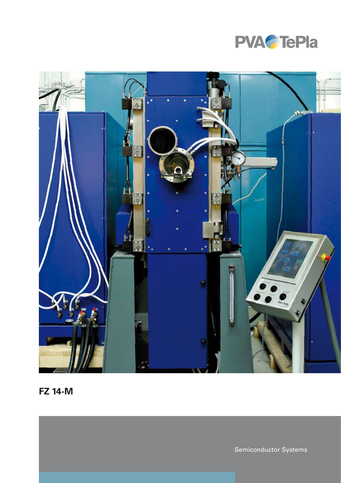



**FZ 14-M**

Semiconductor Systems